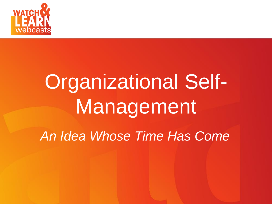

# **Organizational Self-Management**

*An Idea Whose Time Has Come*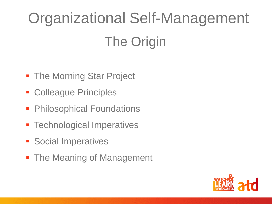# Organizational Self-Management The Origin

- **The Morning Star Project**
- **Colleague Principles**
- Philosophical Foundations
- **Technological Imperatives**
- **Social Imperatives**
- **The Meaning of Management**

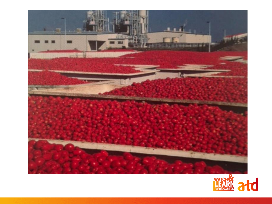

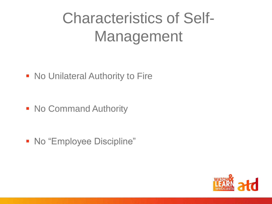**- No Unilateral Authority to Fire** 

• No Command Authority

• No "Employee Discipline"

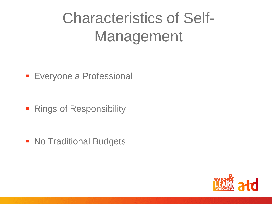**Everyone a Professional** 

• Rings of Responsibility

• No Traditional Budgets

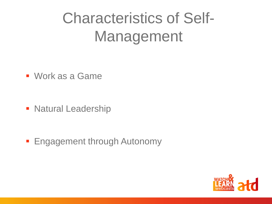Work as a Game

**- Natural Leadership** 

**Engagement through Autonomy** 

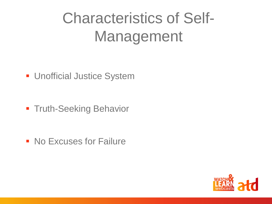**Unofficial Justice System** 

**Truth-Seeking Behavior** 

**No Excuses for Failure** 

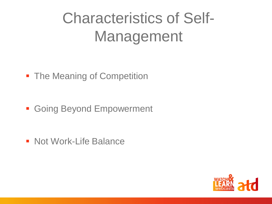• The Meaning of Competition

**Going Beyond Empowerment** 

**- Not Work-Life Balance** 

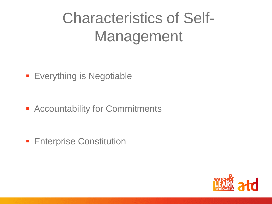**Everything is Negotiable** 

**- Accountability for Commitments** 

**Enterprise Constitution** 

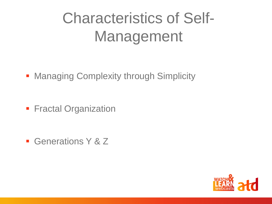**• Managing Complexity through Simplicity** 

**Fractal Organization** 

**Generations Y & Z** 

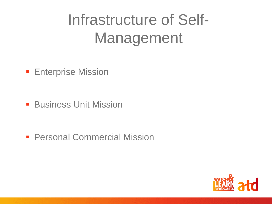**Enterprise Mission** 

**Business Unit Mission** 

**Personal Commercial Mission** 

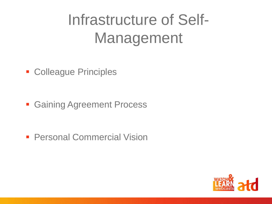**• Colleague Principles** 

**Gaining Agreement Process** 

**Personal Commercial Vision** 

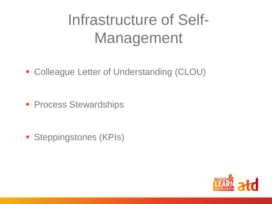**- Colleague Letter of Understanding (CLOU)** 

**Process Stewardships** 

**Steppingstones (KPIs)** 

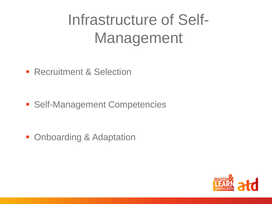**Recruitment & Selection** 

**Self-Management Competencies** 

**• Onboarding & Adaptation** 

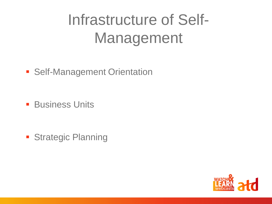**- Self-Management Orientation** 

**Business Units** 

**Strategic Planning** 

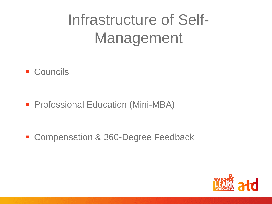**Councils** 

**Professional Education (Mini-MBA)** 

**Compensation & 360-Degree Feedback** 

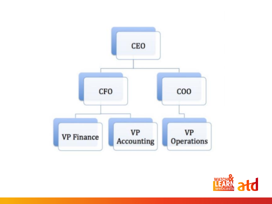

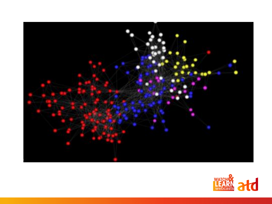

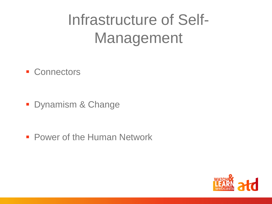**Connectors** 

**Dynamism & Change** 

**Power of the Human Network** 

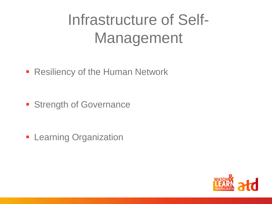**Resiliency of the Human Network** 

**Strength of Governance** 

**- Learning Organization** 

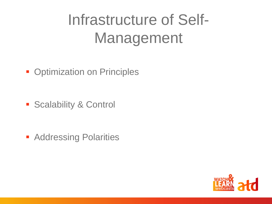• Optimization on Principles

**Scalability & Control** 

**- Addressing Polarities** 

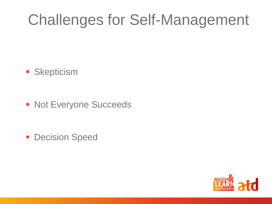#### Challenges for Self-Management

**Skepticism** 

• Not Everyone Succeeds

**Decision Speed** 

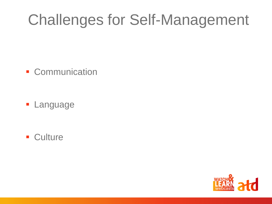#### Challenges for Self-Management

**Communication** 

**- Language**